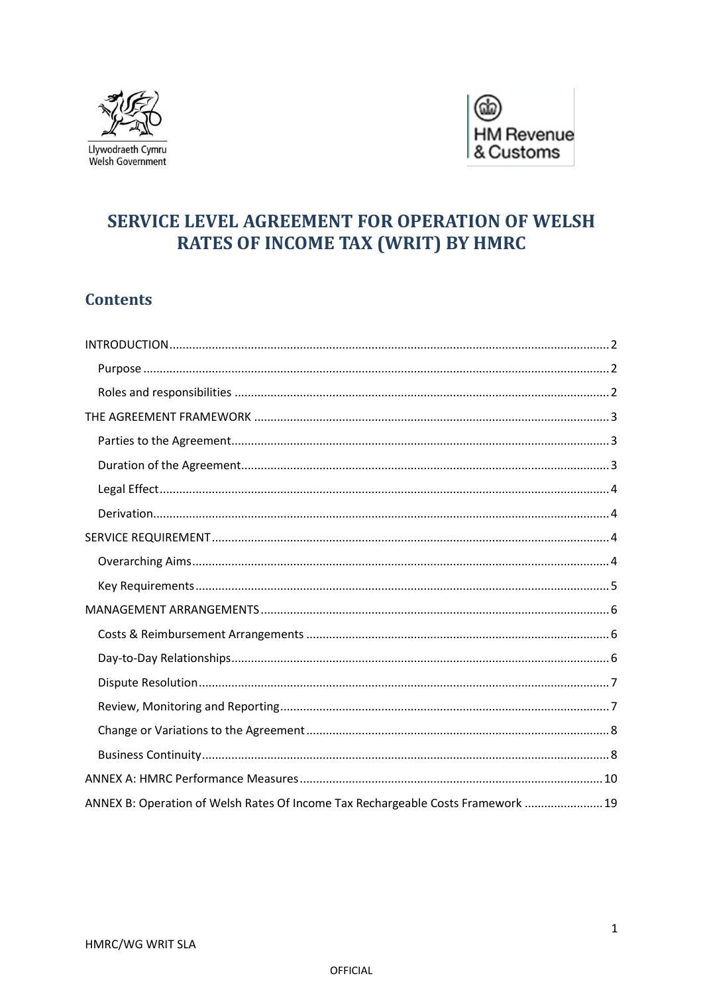



# SERVICE LEVEL AGREEMENT FOR OPERATION OF WELSH **RATES OF INCOME TAX (WRIT) BY HMRC**

# **Contents**

| ANNEX B: Operation of Welsh Rates Of Income Tax Rechargeable Costs Framework  19 |
|----------------------------------------------------------------------------------|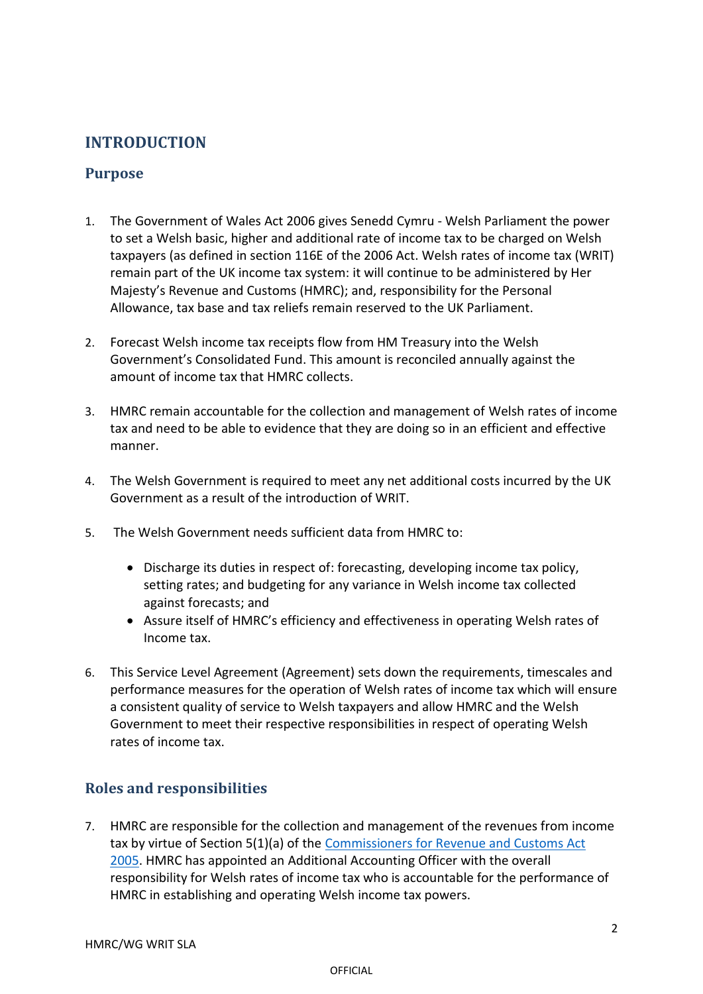# <span id="page-1-0"></span>**INTRODUCTION**

### <span id="page-1-1"></span>**Purpose**

- 1. The Government of Wales Act 2006 gives Senedd Cymru Welsh Parliament the power to set a Welsh basic, higher and additional rate of income tax to be charged on Welsh taxpayers (as defined in section 116E of the 2006 Act. Welsh rates of income tax (WRIT) remain part of the UK income tax system: it will continue to be administered by Her Majesty's Revenue and Customs (HMRC); and, responsibility for the Personal Allowance, tax base and tax reliefs remain reserved to the UK Parliament.
- 2. Forecast Welsh income tax receipts flow from HM Treasury into the Welsh Government's Consolidated Fund. This amount is reconciled annually against the amount of income tax that HMRC collects.
- 3. HMRC remain accountable for the collection and management of Welsh rates of income tax and need to be able to evidence that they are doing so in an efficient and effective manner.
- 4. The Welsh Government is required to meet any net additional costs incurred by the UK Government as a result of the introduction of WRIT.
- 5. The Welsh Government needs sufficient data from HMRC to:
	- Discharge its duties in respect of: forecasting, developing income tax policy, setting rates; and budgeting for any variance in Welsh income tax collected against forecasts; and
	- Assure itself of HMRC's efficiency and effectiveness in operating Welsh rates of Income tax.
- 6. This Service Level Agreement (Agreement) sets down the requirements, timescales and performance measures for the operation of Welsh rates of income tax which will ensure a consistent quality of service to Welsh taxpayers and allow HMRC and the Welsh Government to meet their respective responsibilities in respect of operating Welsh rates of income tax.

## <span id="page-1-2"></span>**Roles and responsibilities**

7. HMRC are responsible for the collection and management of the revenues from income tax by virtue of Section 5(1)(a) of the [Commissioners for Revenue and Customs Act](http://www.legislation.gov.uk/ukpga/2005/11/contents)  [2005.](http://www.legislation.gov.uk/ukpga/2005/11/contents) HMRC has appointed an Additional Accounting Officer with the overall responsibility for Welsh rates of income tax who is accountable for the performance of HMRC in establishing and operating Welsh income tax powers.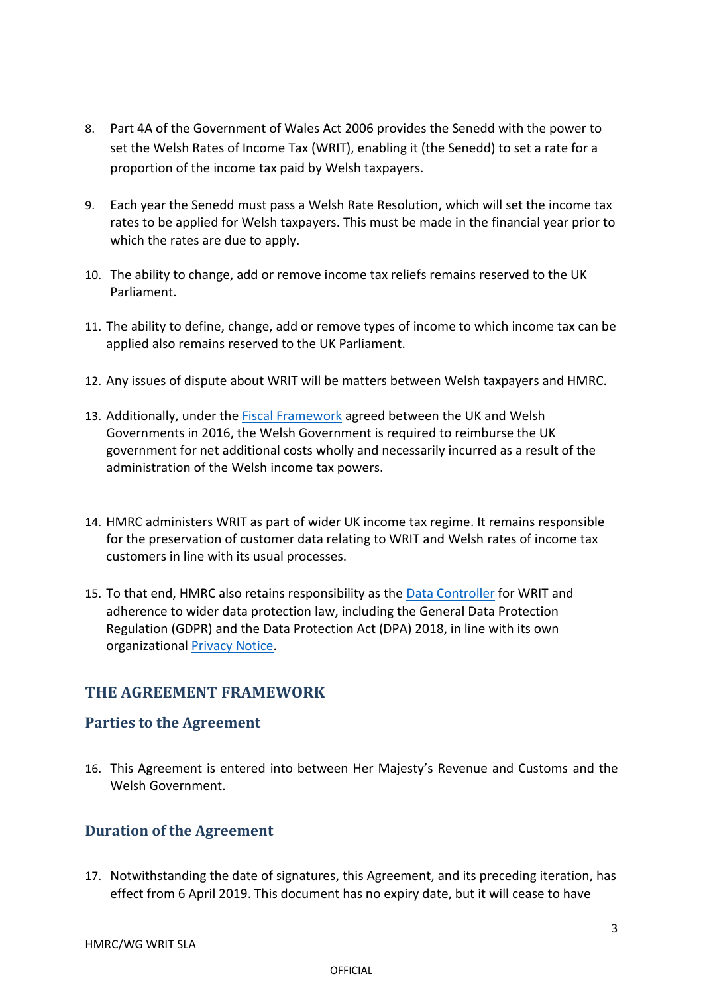- 8. Part 4A of the Government of Wales Act 2006 provides the Senedd with the power to set the Welsh Rates of Income Tax (WRIT), enabling it (the Senedd) to set a rate for a proportion of the income tax paid by Welsh taxpayers.
- 9. Each year the Senedd must pass a Welsh Rate Resolution, which will set the income tax rates to be applied for Welsh taxpayers. This must be made in the financial year prior to which the rates are due to apply.
- 10. The ability to change, add or remove income tax reliefs remains reserved to the UK Parliament.
- 11. The ability to define, change, add or remove types of income to which income tax can be applied also remains reserved to the UK Parliament.
- 12. Any issues of dispute about WRIT will be matters between Welsh taxpayers and HMRC.
- 13. Additionally, under the [Fiscal Framework](https://gov.wales/sites/default/files/publications/2018-11/agreement-on-welsh-government-fiscal-framework.pdf) agreed between the UK and Welsh Governments in 2016, the Welsh Government is required to reimburse the UK government for net additional costs wholly and necessarily incurred as a result of the administration of the Welsh income tax powers.
- 14. HMRC administers WRIT as part of wider UK income tax regime. It remains responsible for the preservation of customer data relating to WRIT and Welsh rates of income tax customers in line with its usual processes.
- 15. To that end, HMRC also retains responsibility as the [Data Controller](https://ico.org.uk/for-organisations/guide-to-data-protection/guide-to-the-general-data-protection-regulation-gdpr/key-definitions/controllers-and-processors/) for WRIT and adherence to wider data protection law, including the General Data Protection Regulation (GDPR) and the Data Protection Act (DPA) 2018, in line with its own organizational [Privacy Notice.](https://www.gov.uk/government/publications/data-protection-act-dpa-information-hm-revenue-and-customs-hold-about-you/data-protection-act-dpa-information-hm-revenue-and-customs-hold-about-you#data-protection-principles)

## <span id="page-2-0"></span>**THE AGREEMENT FRAMEWORK**

## <span id="page-2-1"></span>**Parties to the Agreement**

16. This Agreement is entered into between Her Majesty's Revenue and Customs and the Welsh Government.

## <span id="page-2-2"></span>**Duration of the Agreement**

17. Notwithstanding the date of signatures, this Agreement, and its preceding iteration, has effect from 6 April 2019. This document has no expiry date, but it will cease to have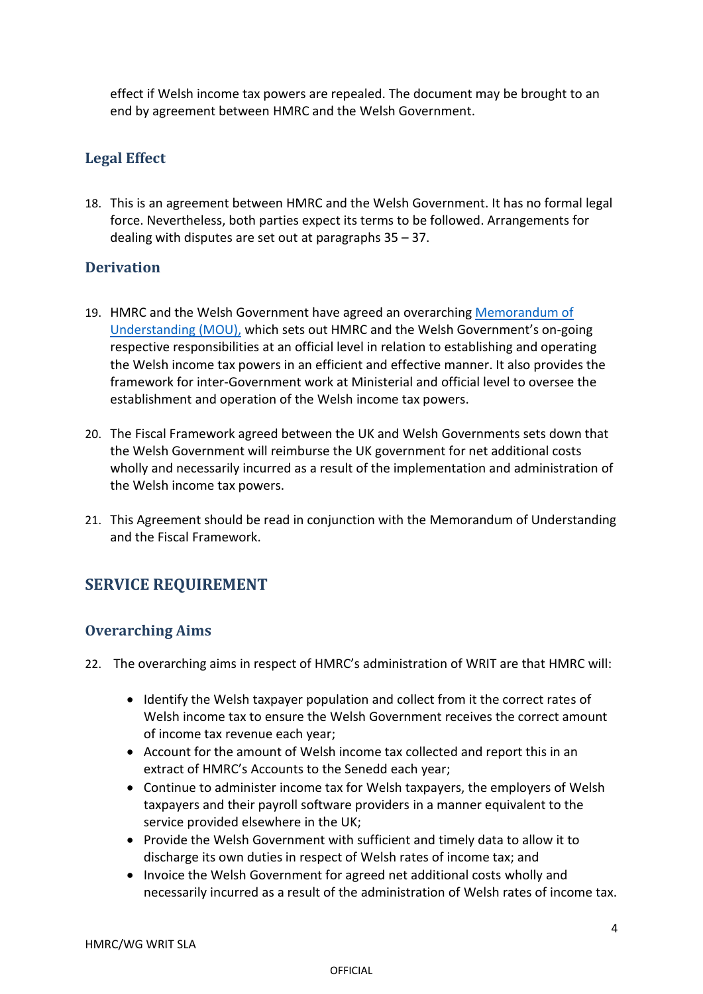effect if Welsh income tax powers are repealed. The document may be brought to an end by agreement between HMRC and the Welsh Government.

# <span id="page-3-0"></span>**Legal Effect**

18. This is an agreement between HMRC and the Welsh Government. It has no formal legal force. Nevertheless, both parties expect its terms to be followed. Arrangements for dealing with disputes are set out at paragraphs 35 – 37.

## <span id="page-3-1"></span>**Derivation**

- 19. HMRC and the Welsh Government have agreed an overarching [Memorandum of](https://gov.wales/docs/caecd/publications/180411-income-tax-memo-en.pdf)  [Understanding](https://gov.wales/docs/caecd/publications/180411-income-tax-memo-en.pdf) (MOU), which sets out HMRC and the Welsh Government's on-going respective responsibilities at an official level in relation to establishing and operating the Welsh income tax powers in an efficient and effective manner. It also provides the framework for inter-Government work at Ministerial and official level to oversee the establishment and operation of the Welsh income tax powers.
- 20. The Fiscal Framework agreed between the UK and Welsh Governments sets down that the Welsh Government will reimburse the UK government for net additional costs wholly and necessarily incurred as a result of the implementation and administration of the Welsh income tax powers.
- 21. This Agreement should be read in conjunction with the Memorandum of Understanding and the Fiscal Framework.

# <span id="page-3-2"></span>**SERVICE REQUIREMENT**

## <span id="page-3-3"></span>**Overarching Aims**

22. The overarching aims in respect of HMRC's administration of WRIT are that HMRC will:

- Identify the Welsh taxpayer population and collect from it the correct rates of Welsh income tax to ensure the Welsh Government receives the correct amount of income tax revenue each year;
- Account for the amount of Welsh income tax collected and report this in an extract of HMRC's Accounts to the Senedd each year;
- Continue to administer income tax for Welsh taxpayers, the employers of Welsh taxpayers and their payroll software providers in a manner equivalent to the service provided elsewhere in the UK;
- Provide the Welsh Government with sufficient and timely data to allow it to discharge its own duties in respect of Welsh rates of income tax; and
- Invoice the Welsh Government for agreed net additional costs wholly and necessarily incurred as a result of the administration of Welsh rates of income tax.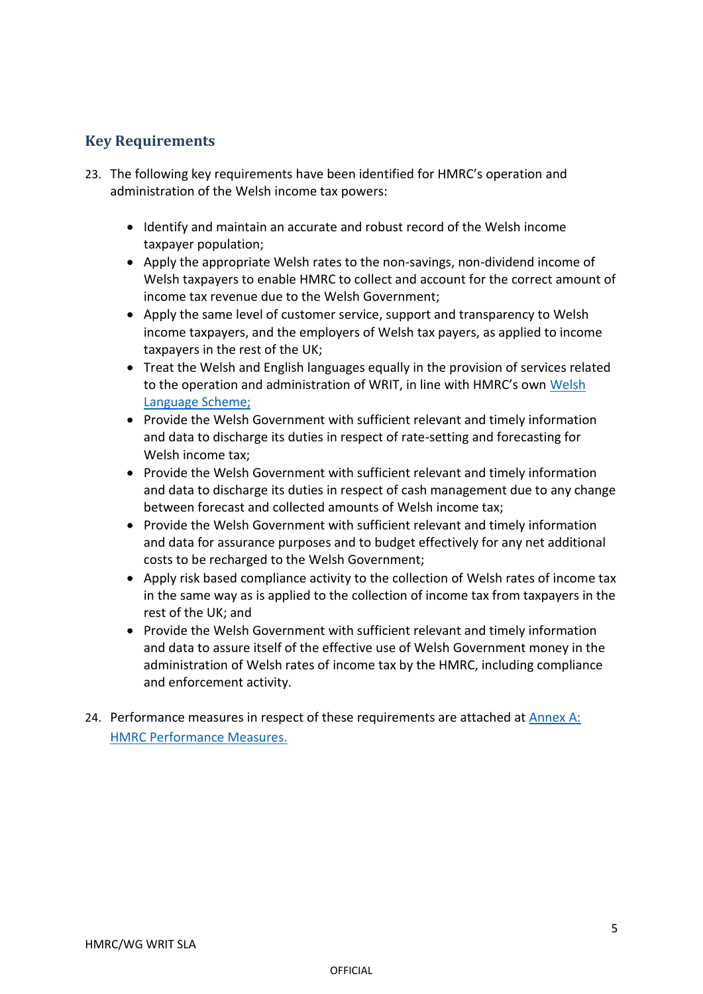## <span id="page-4-0"></span>**Key Requirements**

- 23. The following key requirements have been identified for HMRC's operation and administration of the Welsh income tax powers:
	- Identify and maintain an accurate and robust record of the Welsh income taxpayer population;
	- Apply the appropriate Welsh rates to the non-savings, non-dividend income of Welsh taxpayers to enable HMRC to collect and account for the correct amount of income tax revenue due to the Welsh Government;
	- Apply the same level of customer service, support and transparency to Welsh income taxpayers, and the employers of Welsh tax payers, as applied to income taxpayers in the rest of the UK;
	- Treat the Welsh and English languages equally in the provision of services related to the operation and administration of WRIT, in line with HMRC's own [Welsh](https://www.gov.uk/government/organisations/hm-revenue-customs/about/welsh-language-scheme)  [Language Scheme;](https://www.gov.uk/government/organisations/hm-revenue-customs/about/welsh-language-scheme)
	- Provide the Welsh Government with sufficient relevant and timely information and data to discharge its duties in respect of rate-setting and forecasting for Welsh income tax;
	- Provide the Welsh Government with sufficient relevant and timely information and data to discharge its duties in respect of cash management due to any change between forecast and collected amounts of Welsh income tax;
	- Provide the Welsh Government with sufficient relevant and timely information and data for assurance purposes and to budget effectively for any net additional costs to be recharged to the Welsh Government;
	- Apply risk based compliance activity to the collection of Welsh rates of income tax in the same way as is applied to the collection of income tax from taxpayers in the rest of the UK; and
	- Provide the Welsh Government with sufficient relevant and timely information and data to assure itself of the effective use of Welsh Government money in the administration of Welsh rates of income tax by the HMRC, including compliance and enforcement activity.
- 24. Performance measures in respect of these requirements are attached at [Annex A:](#page-9-0)  [HMRC Performance Measures.](#page-9-0)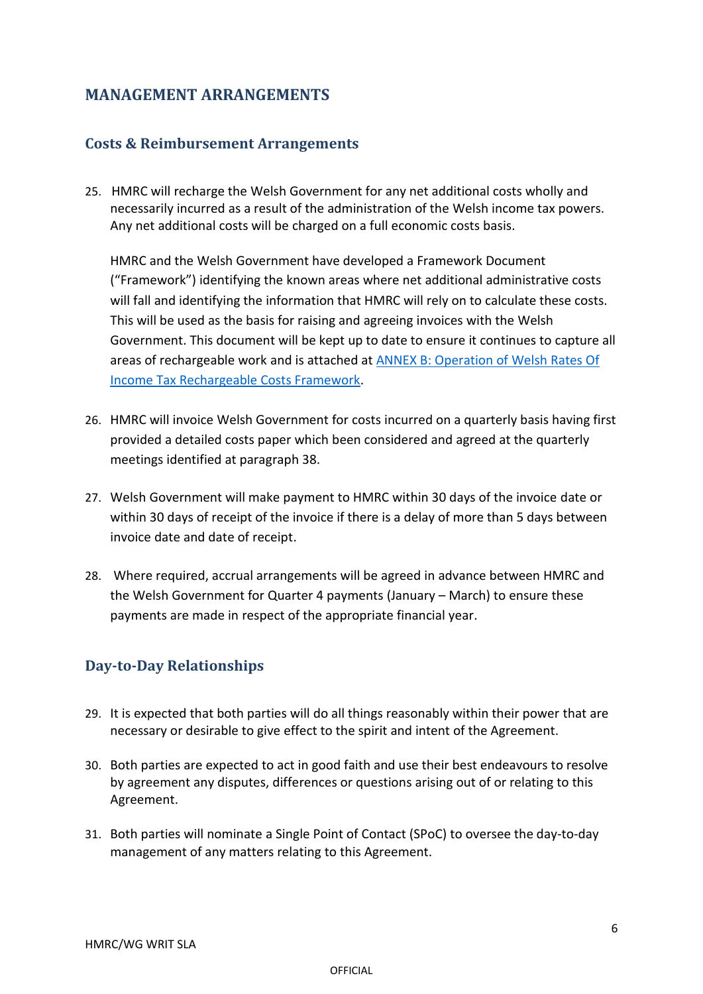# <span id="page-5-0"></span>**MANAGEMENT ARRANGEMENTS**

## <span id="page-5-1"></span>**Costs & Reimbursement Arrangements**

25. HMRC will recharge the Welsh Government for any net additional costs wholly and necessarily incurred as a result of the administration of the Welsh income tax powers. Any net additional costs will be charged on a full economic costs basis.

HMRC and the Welsh Government have developed a Framework Document ("Framework") identifying the known areas where net additional administrative costs will fall and identifying the information that HMRC will rely on to calculate these costs. This will be used as the basis for raising and agreeing invoices with the Welsh Government. This document will be kept up to date to ensure it continues to capture all areas of rechargeable work and is attached at [ANNEX B: Operation of Welsh](#page-18-0) Rates Of [Income Tax Rechargeable Costs Framework.](#page-18-0)

- 26. HMRC will invoice Welsh Government for costs incurred on a quarterly basis having first provided a detailed costs paper which been considered and agreed at the quarterly meetings identified at paragraph 38.
- 27. Welsh Government will make payment to HMRC within 30 days of the invoice date or within 30 days of receipt of the invoice if there is a delay of more than 5 days between invoice date and date of receipt.
- 28. Where required, accrual arrangements will be agreed in advance between HMRC and the Welsh Government for Quarter 4 payments (January – March) to ensure these payments are made in respect of the appropriate financial year.

## <span id="page-5-2"></span>**Day-to-Day Relationships**

- 29. It is expected that both parties will do all things reasonably within their power that are necessary or desirable to give effect to the spirit and intent of the Agreement.
- 30. Both parties are expected to act in good faith and use their best endeavours to resolve by agreement any disputes, differences or questions arising out of or relating to this Agreement.
- 31. Both parties will nominate a Single Point of Contact (SPoC) to oversee the day-to-day management of any matters relating to this Agreement.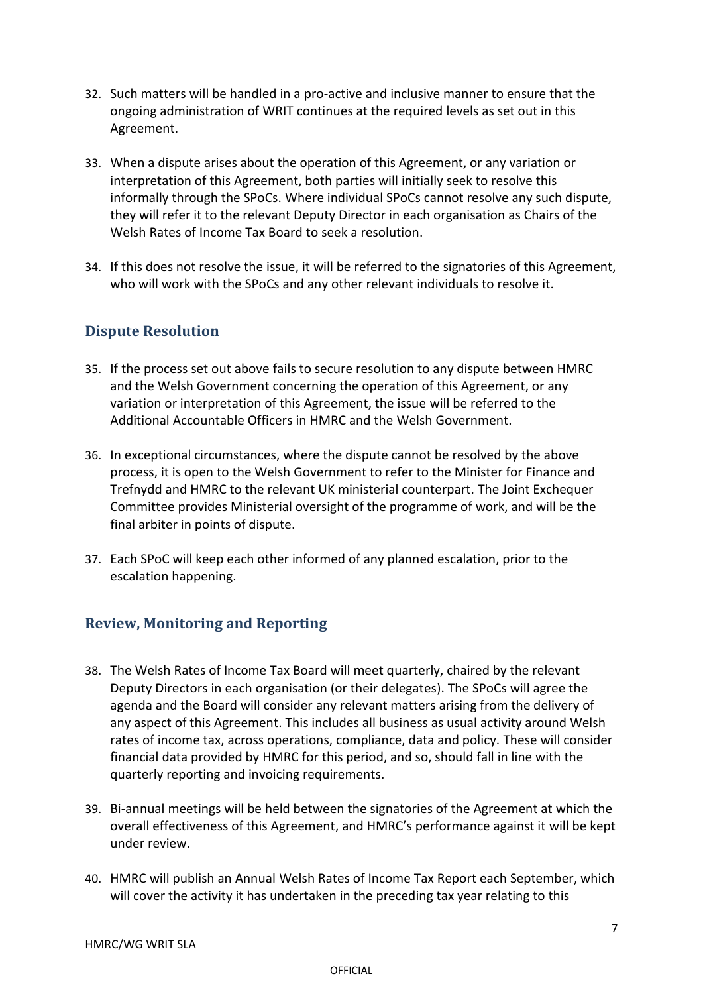- 32. Such matters will be handled in a pro-active and inclusive manner to ensure that the ongoing administration of WRIT continues at the required levels as set out in this Agreement.
- 33. When a dispute arises about the operation of this Agreement, or any variation or interpretation of this Agreement, both parties will initially seek to resolve this informally through the SPoCs. Where individual SPoCs cannot resolve any such dispute, they will refer it to the relevant Deputy Director in each organisation as Chairs of the Welsh Rates of Income Tax Board to seek a resolution.
- 34. If this does not resolve the issue, it will be referred to the signatories of this Agreement, who will work with the SPoCs and any other relevant individuals to resolve it.

## <span id="page-6-0"></span>**Dispute Resolution**

- 35. If the process set out above fails to secure resolution to any dispute between HMRC and the Welsh Government concerning the operation of this Agreement, or any variation or interpretation of this Agreement, the issue will be referred to the Additional Accountable Officers in HMRC and the Welsh Government.
- 36. In exceptional circumstances, where the dispute cannot be resolved by the above process, it is open to the Welsh Government to refer to the Minister for Finance and Trefnydd and HMRC to the relevant UK ministerial counterpart. The Joint Exchequer Committee provides Ministerial oversight of the programme of work, and will be the final arbiter in points of dispute.
- 37. Each SPoC will keep each other informed of any planned escalation, prior to the escalation happening.

### <span id="page-6-1"></span>**Review, Monitoring and Reporting**

- 38. The Welsh Rates of Income Tax Board will meet quarterly, chaired by the relevant Deputy Directors in each organisation (or their delegates). The SPoCs will agree the agenda and the Board will consider any relevant matters arising from the delivery of any aspect of this Agreement. This includes all business as usual activity around Welsh rates of income tax, across operations, compliance, data and policy. These will consider financial data provided by HMRC for this period, and so, should fall in line with the quarterly reporting and invoicing requirements.
- 39. Bi-annual meetings will be held between the signatories of the Agreement at which the overall effectiveness of this Agreement, and HMRC's performance against it will be kept under review.
- 40. HMRC will publish an Annual Welsh Rates of Income Tax Report each September, which will cover the activity it has undertaken in the preceding tax year relating to this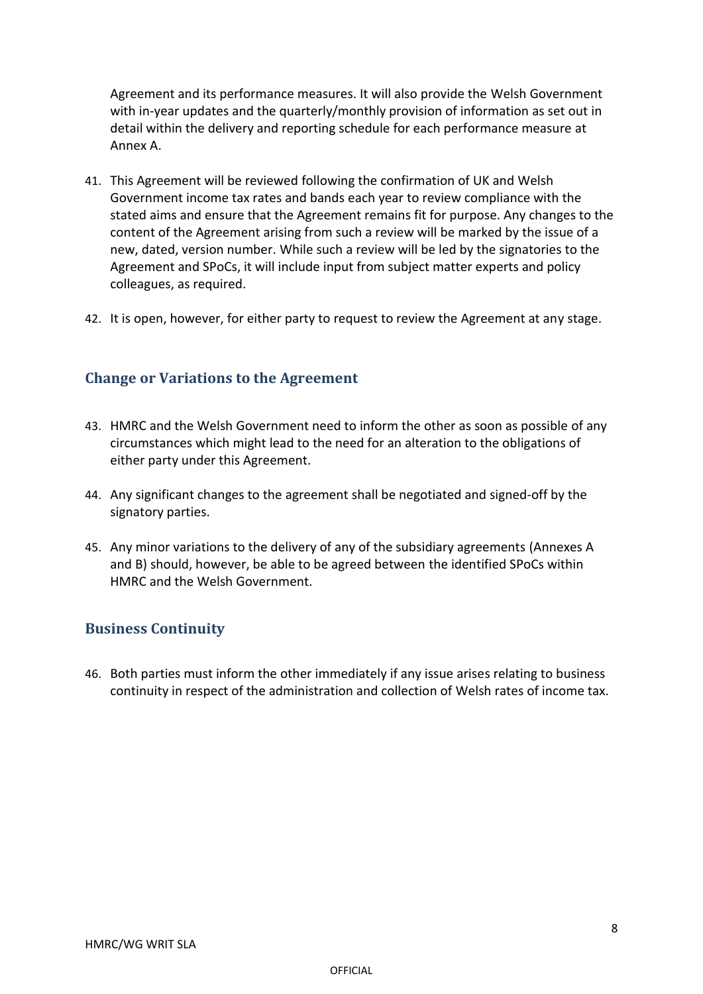Agreement and its performance measures. It will also provide the Welsh Government with in-year updates and the quarterly/monthly provision of information as set out in detail within the delivery and reporting schedule for each performance measure at Annex A.

- 41. This Agreement will be reviewed following the confirmation of UK and Welsh Government income tax rates and bands each year to review compliance with the stated aims and ensure that the Agreement remains fit for purpose. Any changes to the content of the Agreement arising from such a review will be marked by the issue of a new, dated, version number. While such a review will be led by the signatories to the Agreement and SPoCs, it will include input from subject matter experts and policy colleagues, as required.
- 42. It is open, however, for either party to request to review the Agreement at any stage.

### <span id="page-7-0"></span>**Change or Variations to the Agreement**

- 43. HMRC and the Welsh Government need to inform the other as soon as possible of any circumstances which might lead to the need for an alteration to the obligations of either party under this Agreement.
- 44. Any significant changes to the agreement shall be negotiated and signed-off by the signatory parties.
- 45. Any minor variations to the delivery of any of the subsidiary agreements (Annexes A and B) should, however, be able to be agreed between the identified SPoCs within HMRC and the Welsh Government.

## <span id="page-7-1"></span>**Business Continuity**

46. Both parties must inform the other immediately if any issue arises relating to business continuity in respect of the administration and collection of Welsh rates of income tax.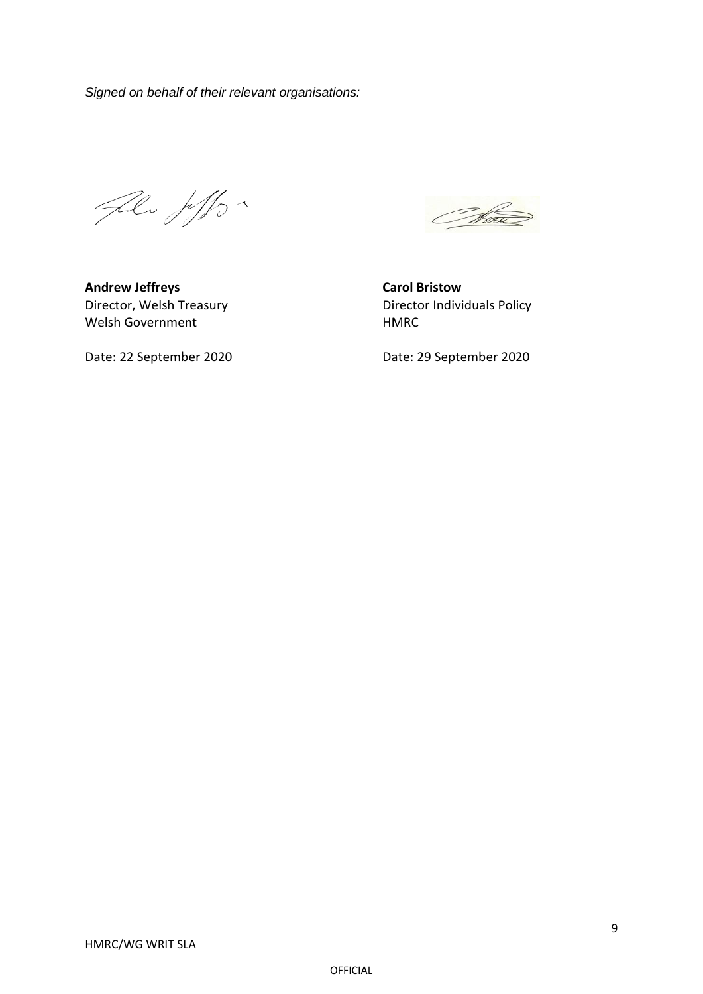*Signed on behalf of their relevant organisations:* 

De fillo

*Thou* 

**Andrew Jeffreys Carol Bristow** Welsh Government **HMRC** 

Director, Welsh Treasury **Director Individuals Policy** 

Date: 22 September 2020 Date: 29 September 2020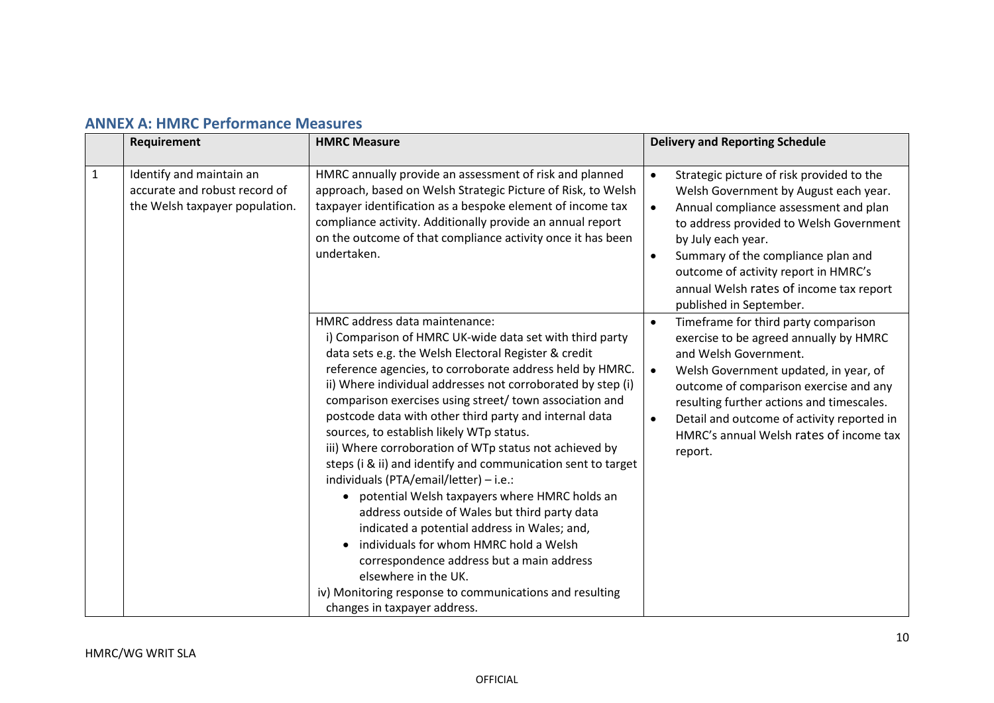<span id="page-9-0"></span>

|              | Requirement                                                                                 | <b>HMRC Measure</b>                                                                                                                                                                                                                                                                                                                                                                                                                                                                                                                                                                                                                                                                                                                                                                                                                                                                                                                                                                        | <b>Delivery and Reporting Schedule</b>                                                                                                                                                                                                                                                                                                                                             |
|--------------|---------------------------------------------------------------------------------------------|--------------------------------------------------------------------------------------------------------------------------------------------------------------------------------------------------------------------------------------------------------------------------------------------------------------------------------------------------------------------------------------------------------------------------------------------------------------------------------------------------------------------------------------------------------------------------------------------------------------------------------------------------------------------------------------------------------------------------------------------------------------------------------------------------------------------------------------------------------------------------------------------------------------------------------------------------------------------------------------------|------------------------------------------------------------------------------------------------------------------------------------------------------------------------------------------------------------------------------------------------------------------------------------------------------------------------------------------------------------------------------------|
| $\mathbf{1}$ | Identify and maintain an<br>accurate and robust record of<br>the Welsh taxpayer population. | HMRC annually provide an assessment of risk and planned<br>approach, based on Welsh Strategic Picture of Risk, to Welsh<br>taxpayer identification as a bespoke element of income tax<br>compliance activity. Additionally provide an annual report<br>on the outcome of that compliance activity once it has been<br>undertaken.                                                                                                                                                                                                                                                                                                                                                                                                                                                                                                                                                                                                                                                          | Strategic picture of risk provided to the<br>Welsh Government by August each year.<br>Annual compliance assessment and plan<br>$\bullet$<br>to address provided to Welsh Government<br>by July each year.<br>Summary of the compliance plan and<br>$\bullet$<br>outcome of activity report in HMRC's<br>annual Welsh rates of income tax report<br>published in September.         |
|              |                                                                                             | HMRC address data maintenance:<br>i) Comparison of HMRC UK-wide data set with third party<br>data sets e.g. the Welsh Electoral Register & credit<br>reference agencies, to corroborate address held by HMRC.<br>ii) Where individual addresses not corroborated by step (i)<br>comparison exercises using street/ town association and<br>postcode data with other third party and internal data<br>sources, to establish likely WTp status.<br>iii) Where corroboration of WTp status not achieved by<br>steps (i & ii) and identify and communication sent to target<br>individuals (PTA/email/letter) - i.e.:<br>potential Welsh taxpayers where HMRC holds an<br>$\bullet$<br>address outside of Wales but third party data<br>indicated a potential address in Wales; and,<br>individuals for whom HMRC hold a Welsh<br>correspondence address but a main address<br>elsewhere in the UK.<br>iv) Monitoring response to communications and resulting<br>changes in taxpayer address. | Timeframe for third party comparison<br>$\bullet$<br>exercise to be agreed annually by HMRC<br>and Welsh Government.<br>Welsh Government updated, in year, of<br>$\bullet$<br>outcome of comparison exercise and any<br>resulting further actions and timescales.<br>Detail and outcome of activity reported in<br>$\bullet$<br>HMRC's annual Welsh rates of income tax<br>report. |

# **ANNEX A: HMRC Performance Measures**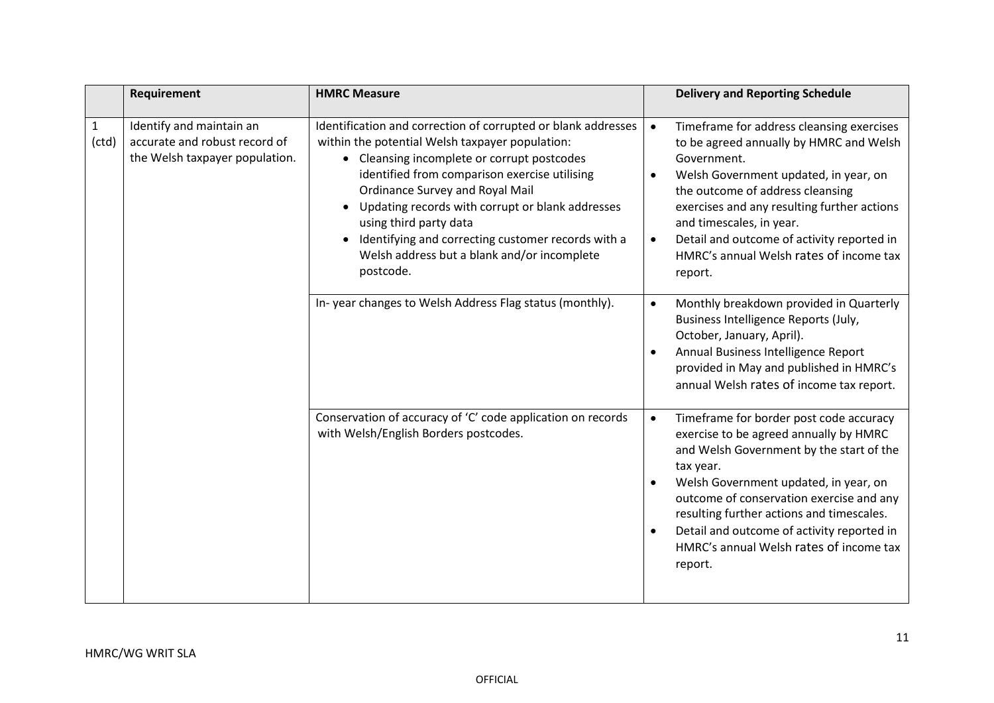|                       | Requirement                                                                                 | <b>HMRC Measure</b>                                                                                                                                                                                                                                                                                                                                                                                                                                 | <b>Delivery and Reporting Schedule</b>                                                                                                                                                                                                                                                                                                                                                                                  |
|-----------------------|---------------------------------------------------------------------------------------------|-----------------------------------------------------------------------------------------------------------------------------------------------------------------------------------------------------------------------------------------------------------------------------------------------------------------------------------------------------------------------------------------------------------------------------------------------------|-------------------------------------------------------------------------------------------------------------------------------------------------------------------------------------------------------------------------------------------------------------------------------------------------------------------------------------------------------------------------------------------------------------------------|
| $\mathbf{1}$<br>(ctd) | Identify and maintain an<br>accurate and robust record of<br>the Welsh taxpayer population. | Identification and correction of corrupted or blank addresses<br>within the potential Welsh taxpayer population:<br>• Cleansing incomplete or corrupt postcodes<br>identified from comparison exercise utilising<br>Ordinance Survey and Royal Mail<br>Updating records with corrupt or blank addresses<br>using third party data<br>Identifying and correcting customer records with a<br>Welsh address but a blank and/or incomplete<br>postcode. | Timeframe for address cleansing exercises<br>$\bullet$<br>to be agreed annually by HMRC and Welsh<br>Government.<br>Welsh Government updated, in year, on<br>$\bullet$<br>the outcome of address cleansing<br>exercises and any resulting further actions<br>and timescales, in year.<br>Detail and outcome of activity reported in<br>$\bullet$<br>HMRC's annual Welsh rates of income tax<br>report.                  |
|                       |                                                                                             | In-year changes to Welsh Address Flag status (monthly).                                                                                                                                                                                                                                                                                                                                                                                             | Monthly breakdown provided in Quarterly<br>$\bullet$<br>Business Intelligence Reports (July,<br>October, January, April).<br>Annual Business Intelligence Report<br>$\bullet$<br>provided in May and published in HMRC's<br>annual Welsh rates of income tax report.                                                                                                                                                    |
|                       |                                                                                             | Conservation of accuracy of 'C' code application on records<br>with Welsh/English Borders postcodes.                                                                                                                                                                                                                                                                                                                                                | Timeframe for border post code accuracy<br>$\bullet$<br>exercise to be agreed annually by HMRC<br>and Welsh Government by the start of the<br>tax year.<br>Welsh Government updated, in year, on<br>$\bullet$<br>outcome of conservation exercise and any<br>resulting further actions and timescales.<br>Detail and outcome of activity reported in<br>$\bullet$<br>HMRC's annual Welsh rates of income tax<br>report. |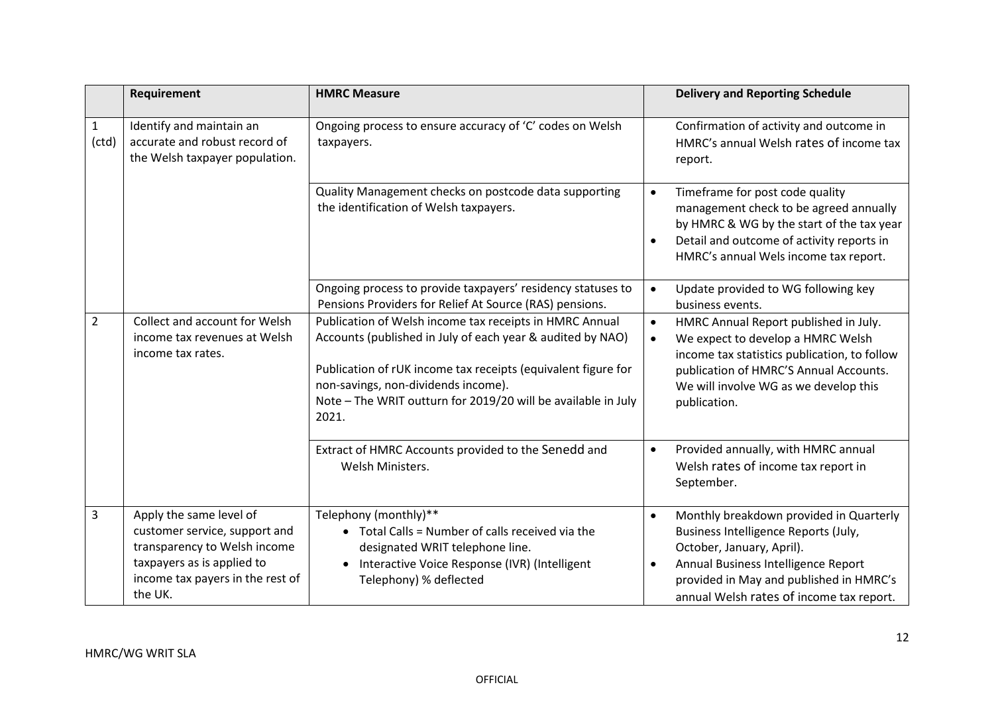|                       | Requirement                                                                                                                                                           | <b>HMRC Measure</b>                                                                                                                                                                                                                                                                                     | <b>Delivery and Reporting Schedule</b>                                                                                                                                                                                                                               |
|-----------------------|-----------------------------------------------------------------------------------------------------------------------------------------------------------------------|---------------------------------------------------------------------------------------------------------------------------------------------------------------------------------------------------------------------------------------------------------------------------------------------------------|----------------------------------------------------------------------------------------------------------------------------------------------------------------------------------------------------------------------------------------------------------------------|
| $\mathbf{1}$<br>(ctd) | Identify and maintain an<br>accurate and robust record of<br>the Welsh taxpayer population.                                                                           | Ongoing process to ensure accuracy of 'C' codes on Welsh<br>taxpayers.                                                                                                                                                                                                                                  | Confirmation of activity and outcome in<br>HMRC's annual Welsh rates of income tax<br>report.                                                                                                                                                                        |
|                       |                                                                                                                                                                       | Quality Management checks on postcode data supporting<br>the identification of Welsh taxpayers.                                                                                                                                                                                                         | Timeframe for post code quality<br>$\bullet$<br>management check to be agreed annually<br>by HMRC & WG by the start of the tax year<br>Detail and outcome of activity reports in<br>$\bullet$<br>HMRC's annual Wels income tax report.                               |
|                       |                                                                                                                                                                       | Ongoing process to provide taxpayers' residency statuses to<br>Pensions Providers for Relief At Source (RAS) pensions.                                                                                                                                                                                  | Update provided to WG following key<br>$\bullet$<br>business events.                                                                                                                                                                                                 |
| $\overline{2}$        | Collect and account for Welsh<br>income tax revenues at Welsh<br>income tax rates.                                                                                    | Publication of Welsh income tax receipts in HMRC Annual<br>Accounts (published in July of each year & audited by NAO)<br>Publication of rUK income tax receipts (equivalent figure for<br>non-savings, non-dividends income).<br>Note - The WRIT outturn for 2019/20 will be available in July<br>2021. | HMRC Annual Report published in July.<br>$\bullet$<br>We expect to develop a HMRC Welsh<br>$\bullet$<br>income tax statistics publication, to follow<br>publication of HMRC'S Annual Accounts.<br>We will involve WG as we develop this<br>publication.              |
|                       |                                                                                                                                                                       | Extract of HMRC Accounts provided to the Senedd and<br>Welsh Ministers.                                                                                                                                                                                                                                 | Provided annually, with HMRC annual<br>$\bullet$<br>Welsh rates of income tax report in<br>September.                                                                                                                                                                |
| 3                     | Apply the same level of<br>customer service, support and<br>transparency to Welsh income<br>taxpayers as is applied to<br>income tax payers in the rest of<br>the UK. | Telephony (monthly)**<br>• Total Calls = Number of calls received via the<br>designated WRIT telephone line.<br>Interactive Voice Response (IVR) (Intelligent<br>Telephony) % deflected                                                                                                                 | Monthly breakdown provided in Quarterly<br>$\bullet$<br>Business Intelligence Reports (July,<br>October, January, April).<br>Annual Business Intelligence Report<br>$\bullet$<br>provided in May and published in HMRC's<br>annual Welsh rates of income tax report. |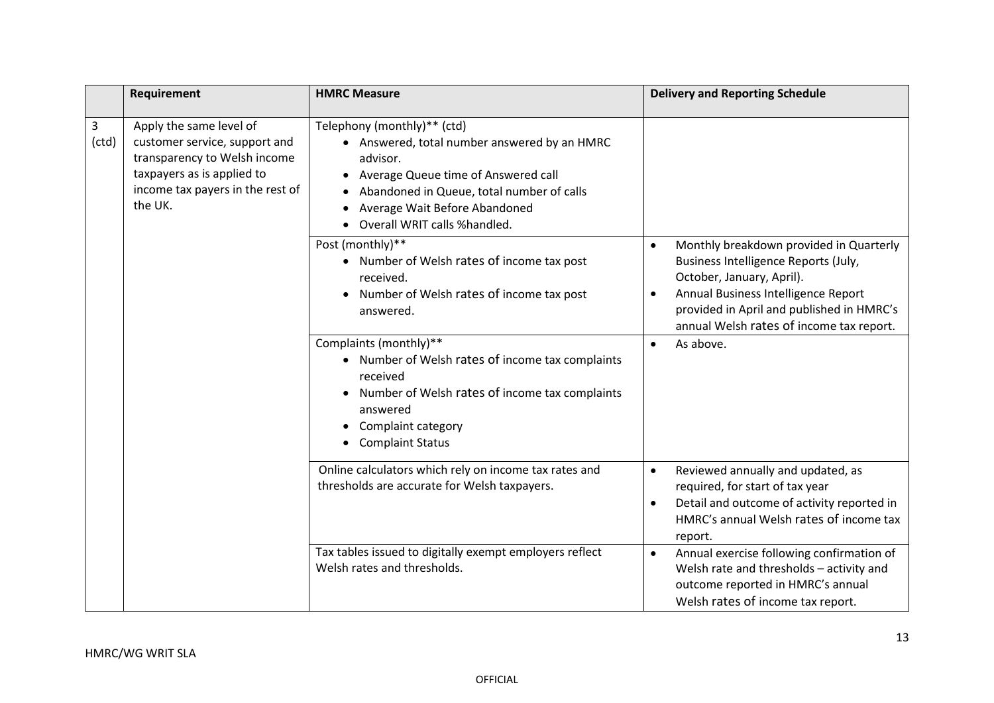|            | Requirement                                                                                                                                                           | <b>HMRC Measure</b>                                                                                                                                                                                                                          | <b>Delivery and Reporting Schedule</b>                                                                                                                                                                                                                                 |
|------------|-----------------------------------------------------------------------------------------------------------------------------------------------------------------------|----------------------------------------------------------------------------------------------------------------------------------------------------------------------------------------------------------------------------------------------|------------------------------------------------------------------------------------------------------------------------------------------------------------------------------------------------------------------------------------------------------------------------|
| 3<br>(ctd) | Apply the same level of<br>customer service, support and<br>transparency to Welsh income<br>taxpayers as is applied to<br>income tax payers in the rest of<br>the UK. | Telephony (monthly)** (ctd)<br>• Answered, total number answered by an HMRC<br>advisor.<br>Average Queue time of Answered call<br>Abandoned in Queue, total number of calls<br>Average Wait Before Abandoned<br>Overall WRIT calls %handled. |                                                                                                                                                                                                                                                                        |
|            |                                                                                                                                                                       | Post (monthly)**<br>• Number of Welsh rates of income tax post<br>received.<br>Number of Welsh rates of income tax post<br>answered.                                                                                                         | Monthly breakdown provided in Quarterly<br>$\bullet$<br>Business Intelligence Reports (July,<br>October, January, April).<br>Annual Business Intelligence Report<br>$\bullet$<br>provided in April and published in HMRC's<br>annual Welsh rates of income tax report. |
|            |                                                                                                                                                                       | Complaints (monthly)**<br>• Number of Welsh rates of income tax complaints<br>received<br>Number of Welsh rates of income tax complaints<br>answered<br>Complaint category<br><b>Complaint Status</b>                                        | As above.<br>$\bullet$                                                                                                                                                                                                                                                 |
|            |                                                                                                                                                                       | Online calculators which rely on income tax rates and<br>thresholds are accurate for Welsh taxpayers.                                                                                                                                        | Reviewed annually and updated, as<br>$\bullet$<br>required, for start of tax year<br>Detail and outcome of activity reported in<br>HMRC's annual Welsh rates of income tax<br>report.                                                                                  |
|            |                                                                                                                                                                       | Tax tables issued to digitally exempt employers reflect<br>Welsh rates and thresholds.                                                                                                                                                       | Annual exercise following confirmation of<br>$\bullet$<br>Welsh rate and thresholds - activity and<br>outcome reported in HMRC's annual<br>Welsh rates of income tax report.                                                                                           |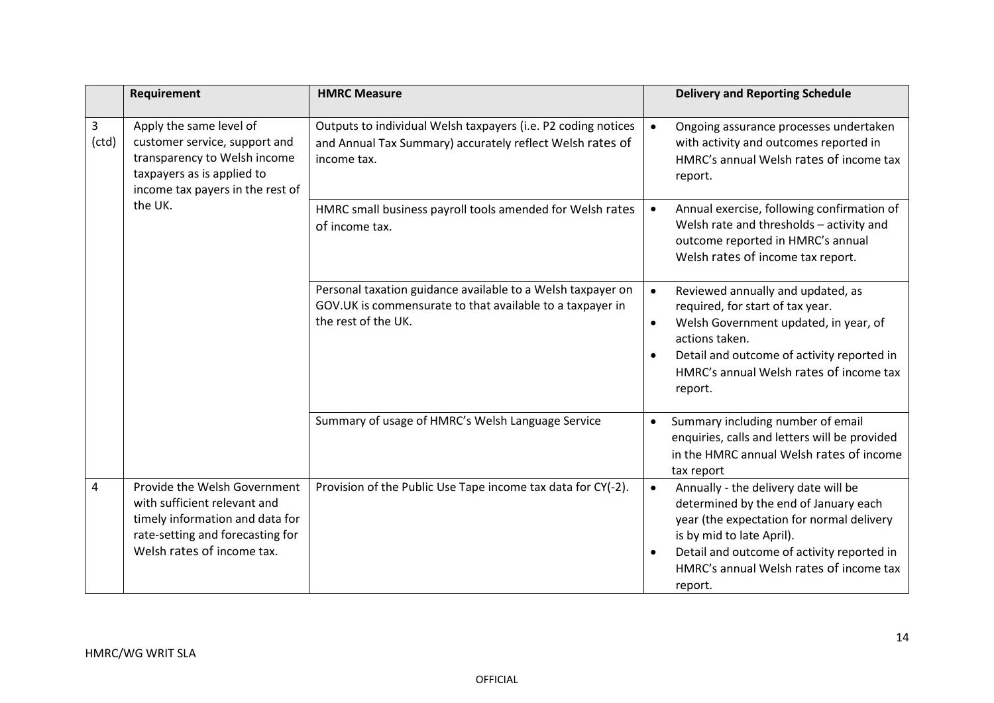|            | Requirement                                                                                                                                                           | <b>HMRC Measure</b>                                                                                                                             | <b>Delivery and Reporting Schedule</b>                                                                                                                                                                                                                                   |
|------------|-----------------------------------------------------------------------------------------------------------------------------------------------------------------------|-------------------------------------------------------------------------------------------------------------------------------------------------|--------------------------------------------------------------------------------------------------------------------------------------------------------------------------------------------------------------------------------------------------------------------------|
| 3<br>(ctd) | Apply the same level of<br>customer service, support and<br>transparency to Welsh income<br>taxpayers as is applied to<br>income tax payers in the rest of<br>the UK. | Outputs to individual Welsh taxpayers (i.e. P2 coding notices<br>and Annual Tax Summary) accurately reflect Welsh rates of<br>income tax.       | Ongoing assurance processes undertaken<br>$\bullet$<br>with activity and outcomes reported in<br>HMRC's annual Welsh rates of income tax<br>report.                                                                                                                      |
|            |                                                                                                                                                                       | HMRC small business payroll tools amended for Welsh rates<br>of income tax.                                                                     | Annual exercise, following confirmation of<br>$\bullet$<br>Welsh rate and thresholds - activity and<br>outcome reported in HMRC's annual<br>Welsh rates of income tax report.                                                                                            |
|            |                                                                                                                                                                       | Personal taxation guidance available to a Welsh taxpayer on<br>GOV.UK is commensurate to that available to a taxpayer in<br>the rest of the UK. | Reviewed annually and updated, as<br>$\bullet$<br>required, for start of tax year.<br>Welsh Government updated, in year, of<br>actions taken.<br>Detail and outcome of activity reported in<br>HMRC's annual Welsh rates of income tax<br>report.                        |
|            |                                                                                                                                                                       | Summary of usage of HMRC's Welsh Language Service                                                                                               | Summary including number of email<br>$\bullet$<br>enquiries, calls and letters will be provided<br>in the HMRC annual Welsh rates of income<br>tax report                                                                                                                |
| 4          | Provide the Welsh Government<br>with sufficient relevant and<br>timely information and data for<br>rate-setting and forecasting for<br>Welsh rates of income tax.     | Provision of the Public Use Tape income tax data for CY(-2).                                                                                    | Annually - the delivery date will be<br>$\bullet$<br>determined by the end of January each<br>year (the expectation for normal delivery<br>is by mid to late April).<br>Detail and outcome of activity reported in<br>HMRC's annual Welsh rates of income tax<br>report. |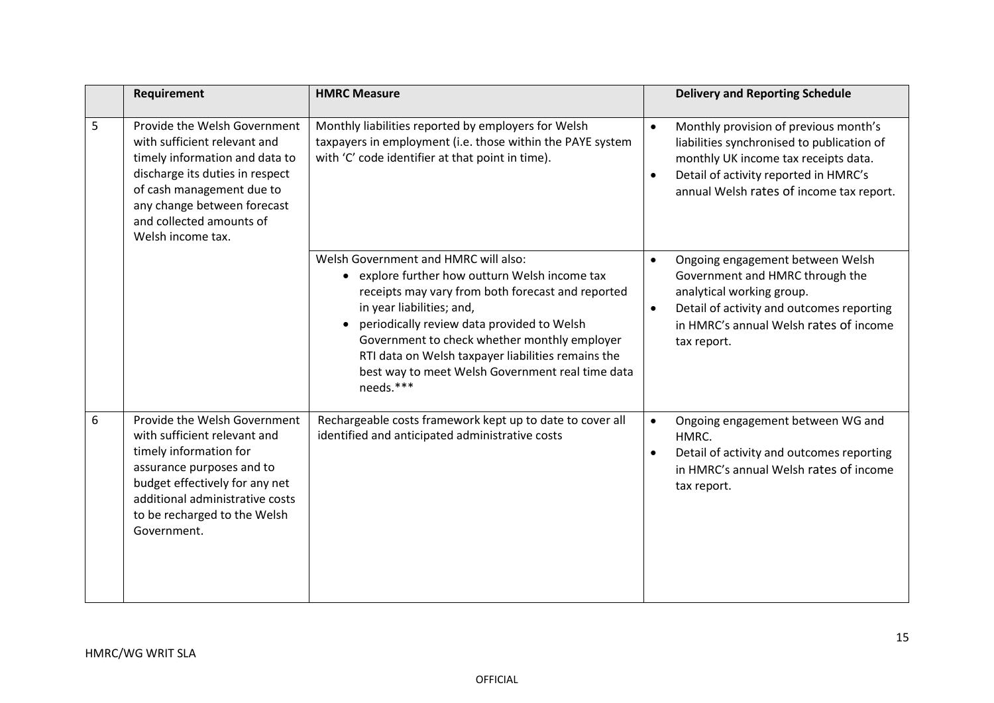|   | Requirement                                                                                                                                                                                                                                    | <b>HMRC Measure</b>                                                                                                                                                                                                                                                                                                                                                                           | <b>Delivery and Reporting Schedule</b>                                                                                                                                                                                                     |
|---|------------------------------------------------------------------------------------------------------------------------------------------------------------------------------------------------------------------------------------------------|-----------------------------------------------------------------------------------------------------------------------------------------------------------------------------------------------------------------------------------------------------------------------------------------------------------------------------------------------------------------------------------------------|--------------------------------------------------------------------------------------------------------------------------------------------------------------------------------------------------------------------------------------------|
| 5 | Provide the Welsh Government<br>with sufficient relevant and<br>timely information and data to<br>discharge its duties in respect<br>of cash management due to<br>any change between forecast<br>and collected amounts of<br>Welsh income tax. | Monthly liabilities reported by employers for Welsh<br>taxpayers in employment (i.e. those within the PAYE system<br>with 'C' code identifier at that point in time).                                                                                                                                                                                                                         | Monthly provision of previous month's<br>$\bullet$<br>liabilities synchronised to publication of<br>monthly UK income tax receipts data.<br>Detail of activity reported in HMRC's<br>$\bullet$<br>annual Welsh rates of income tax report. |
|   |                                                                                                                                                                                                                                                | Welsh Government and HMRC will also:<br>• explore further how outturn Welsh income tax<br>receipts may vary from both forecast and reported<br>in year liabilities; and,<br>periodically review data provided to Welsh<br>Government to check whether monthly employer<br>RTI data on Welsh taxpayer liabilities remains the<br>best way to meet Welsh Government real time data<br>needs.*** | Ongoing engagement between Welsh<br>$\bullet$<br>Government and HMRC through the<br>analytical working group.<br>Detail of activity and outcomes reporting<br>$\bullet$<br>in HMRC's annual Welsh rates of income<br>tax report.           |
| 6 | Provide the Welsh Government<br>with sufficient relevant and<br>timely information for<br>assurance purposes and to<br>budget effectively for any net<br>additional administrative costs<br>to be recharged to the Welsh<br>Government.        | Rechargeable costs framework kept up to date to cover all<br>identified and anticipated administrative costs                                                                                                                                                                                                                                                                                  | Ongoing engagement between WG and<br>$\bullet$<br>HMRC.<br>Detail of activity and outcomes reporting<br>$\bullet$<br>in HMRC's annual Welsh rates of income<br>tax report.                                                                 |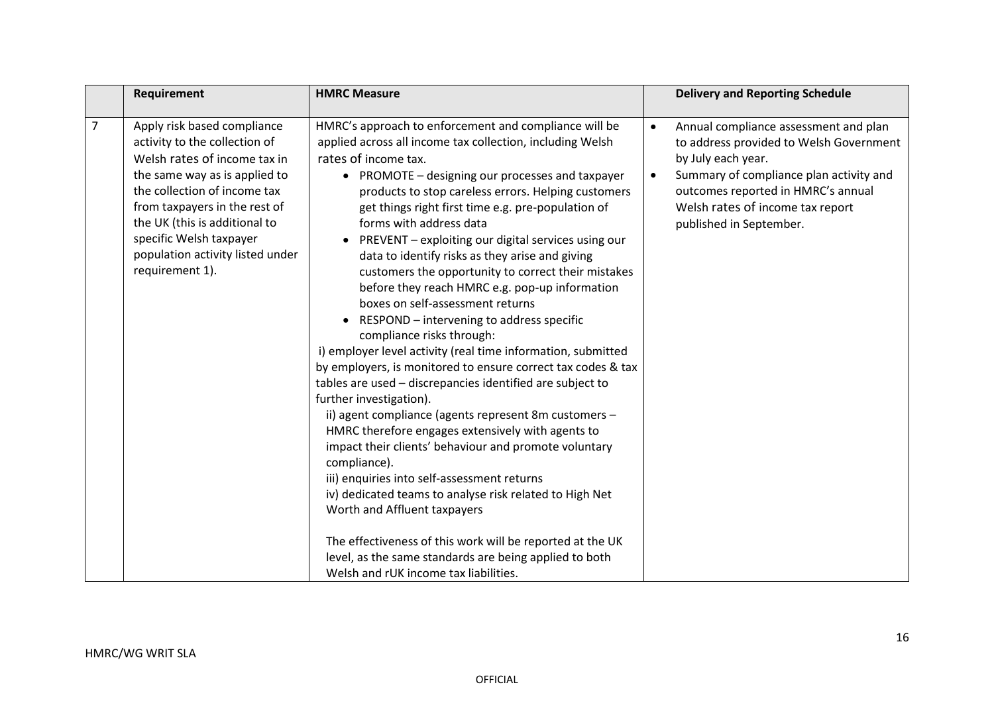|   | Requirement                                                                                                                                                                                                                                                                                                       | <b>HMRC Measure</b>                                                                                                                                                                                                                                                                                                                                                                                                                                                                                                                                                                                                                                                                                                                                                                                                                                                                                                                                                                                                                                                                                                                                                                                                                                                                                                                                                                              | <b>Delivery and Reporting Schedule</b>                                                                                                                                                                                                                                           |
|---|-------------------------------------------------------------------------------------------------------------------------------------------------------------------------------------------------------------------------------------------------------------------------------------------------------------------|--------------------------------------------------------------------------------------------------------------------------------------------------------------------------------------------------------------------------------------------------------------------------------------------------------------------------------------------------------------------------------------------------------------------------------------------------------------------------------------------------------------------------------------------------------------------------------------------------------------------------------------------------------------------------------------------------------------------------------------------------------------------------------------------------------------------------------------------------------------------------------------------------------------------------------------------------------------------------------------------------------------------------------------------------------------------------------------------------------------------------------------------------------------------------------------------------------------------------------------------------------------------------------------------------------------------------------------------------------------------------------------------------|----------------------------------------------------------------------------------------------------------------------------------------------------------------------------------------------------------------------------------------------------------------------------------|
| 7 | Apply risk based compliance<br>activity to the collection of<br>Welsh rates of income tax in<br>the same way as is applied to<br>the collection of income tax<br>from taxpayers in the rest of<br>the UK (this is additional to<br>specific Welsh taxpayer<br>population activity listed under<br>requirement 1). | HMRC's approach to enforcement and compliance will be<br>applied across all income tax collection, including Welsh<br>rates of income tax.<br>• PROMOTE - designing our processes and taxpayer<br>products to stop careless errors. Helping customers<br>get things right first time e.g. pre-population of<br>forms with address data<br>PREVENT - exploiting our digital services using our<br>data to identify risks as they arise and giving<br>customers the opportunity to correct their mistakes<br>before they reach HMRC e.g. pop-up information<br>boxes on self-assessment returns<br>RESPOND - intervening to address specific<br>compliance risks through:<br>i) employer level activity (real time information, submitted<br>by employers, is monitored to ensure correct tax codes & tax<br>tables are used - discrepancies identified are subject to<br>further investigation).<br>ii) agent compliance (agents represent 8m customers -<br>HMRC therefore engages extensively with agents to<br>impact their clients' behaviour and promote voluntary<br>compliance).<br>iii) enquiries into self-assessment returns<br>iv) dedicated teams to analyse risk related to High Net<br>Worth and Affluent taxpayers<br>The effectiveness of this work will be reported at the UK<br>level, as the same standards are being applied to both<br>Welsh and rUK income tax liabilities. | Annual compliance assessment and plan<br>$\bullet$<br>to address provided to Welsh Government<br>by July each year.<br>Summary of compliance plan activity and<br>$\bullet$<br>outcomes reported in HMRC's annual<br>Welsh rates of income tax report<br>published in September. |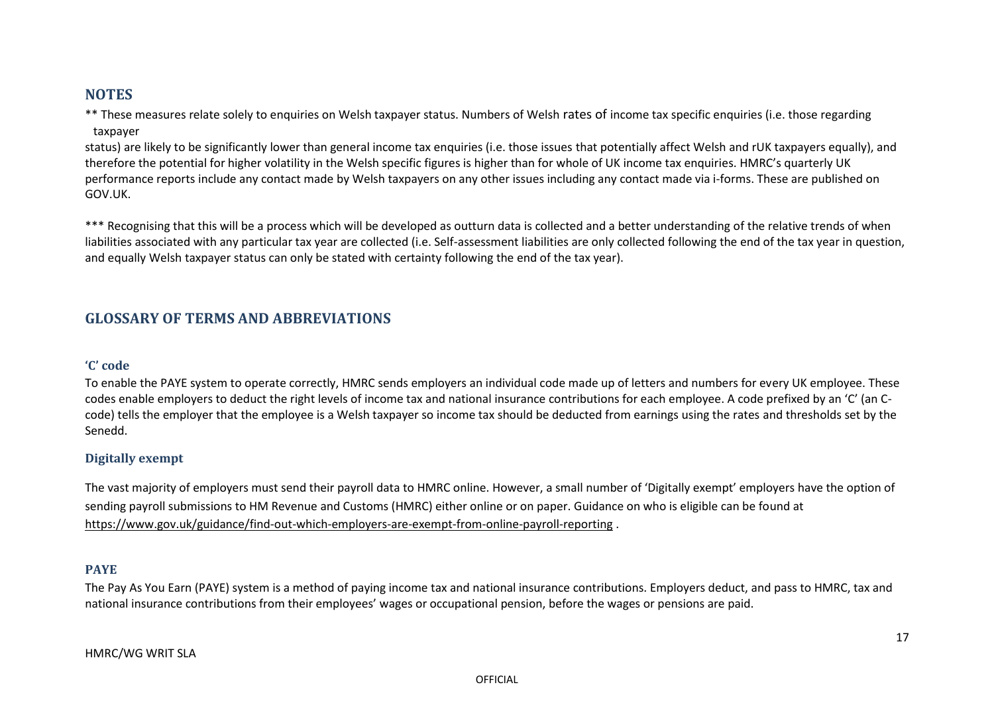## **NOTES**

\*\* These measures relate solely to enquiries on Welsh taxpayer status. Numbers of Welsh rates of income tax specific enquiries (i.e. those regarding taxpayer

status) are likely to be significantly lower than general income tax enquiries (i.e. those issues that potentially affect Welsh and rUK taxpayers equally), and therefore the potential for higher volatility in the Welsh specific figures is higher than for whole of UK income tax enquiries. HMRC's quarterly UK performance reports include any contact made by Welsh taxpayers on any other issues including any contact made via i-forms. These are published on GOV.UK.

\*\*\* Recognising that this will be a process which will be developed as outturn data is collected and a better understanding of the relative trends of when liabilities associated with any particular tax year are collected (i.e. Self-assessment liabilities are only collected following the end of the tax year in question, and equally Welsh taxpayer status can only be stated with certainty following the end of the tax year).

## **GLOSSARY OF TERMS AND ABBREVIATIONS**

#### **'C' code**

To enable the PAYE system to operate correctly, HMRC sends employers an individual code made up of letters and numbers for every UK employee. These codes enable employers to deduct the right levels of income tax and national insurance contributions for each employee. A code prefixed by an 'C' (an Ccode) tells the employer that the employee is a Welsh taxpayer so income tax should be deducted from earnings using the rates and thresholds set by the Senedd.

### **Digitally exempt**

The vast majority of employers must send their payroll data to HMRC online. However, a small number of 'Digitally exempt' employers have the option of sending payroll submissions to HM Revenue and Customs (HMRC) either online or on paper. Guidance on who is eligible can be found at <https://www.gov.uk/guidance/find-out-which-employers-are-exempt-from-online-payroll-reporting> .

#### **PAYE**

The Pay As You Earn (PAYE) system is a method of paying income tax and national insurance contributions. Employers deduct, and pass to HMRC, tax and national insurance contributions from their employees' wages or occupational pension, before the wages or pensions are paid.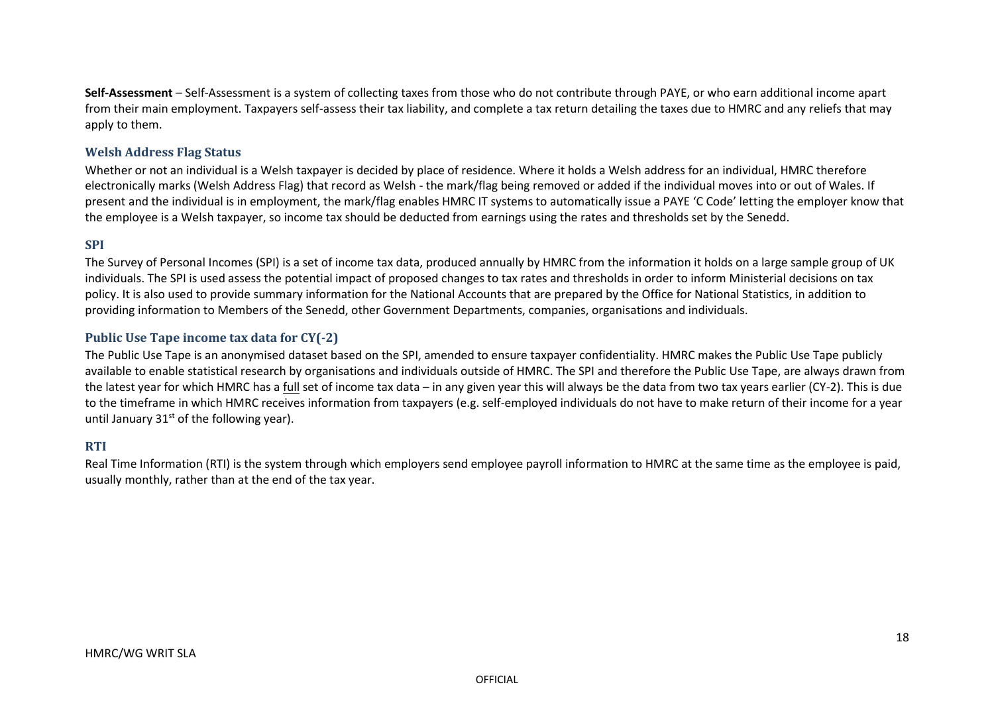**Self-Assessment** – Self-Assessment is a system of collecting taxes from those who do not contribute through PAYE, or who earn additional income apart from their main employment. Taxpayers self-assess their tax liability, and complete a tax return detailing the taxes due to HMRC and any reliefs that may apply to them.

#### **Welsh Address Flag Status**

Whether or not an individual is a Welsh taxpayer is decided by place of residence. Where it holds a Welsh address for an individual, HMRC therefore electronically marks (Welsh Address Flag) that record as Welsh - the mark/flag being removed or added if the individual moves into or out of Wales. If present and the individual is in employment, the mark/flag enables HMRC IT systems to automatically issue a PAYE 'C Code' letting the employer know that the employee is a Welsh taxpayer, so income tax should be deducted from earnings using the rates and thresholds set by the Senedd.

#### **SPI**

The Survey of Personal Incomes (SPI) is a set of income tax data, produced annually by HMRC from the information it holds on a large sample group of UK individuals. The SPI is used assess the potential impact of proposed changes to tax rates and thresholds in order to inform Ministerial decisions on tax policy. It is also used to provide summary information for the National Accounts that are prepared by the Office for National Statistics, in addition to providing information to Members of the Senedd, other Government Departments, companies, organisations and individuals.

#### **Public Use Tape income tax data for CY(-2)**

The Public Use Tape is an anonymised dataset based on the SPI, amended to ensure taxpayer confidentiality. HMRC makes the Public Use Tape publicly available to enable statistical research by organisations and individuals outside of HMRC. The SPI and therefore the Public Use Tape, are always drawn from the latest year for which HMRC has a full set of income tax data – in any given year this will always be the data from two tax years earlier (CY-2). This is due to the timeframe in which HMRC receives information from taxpayers (e.g. self-employed individuals do not have to make return of their income for a year until January  $31<sup>st</sup>$  of the following year).

#### **RTI**

Real Time Information (RTI) is the system through which employers send employee payroll information to HMRC at the same time as the employee is paid, usually monthly, rather than at the end of the tax year.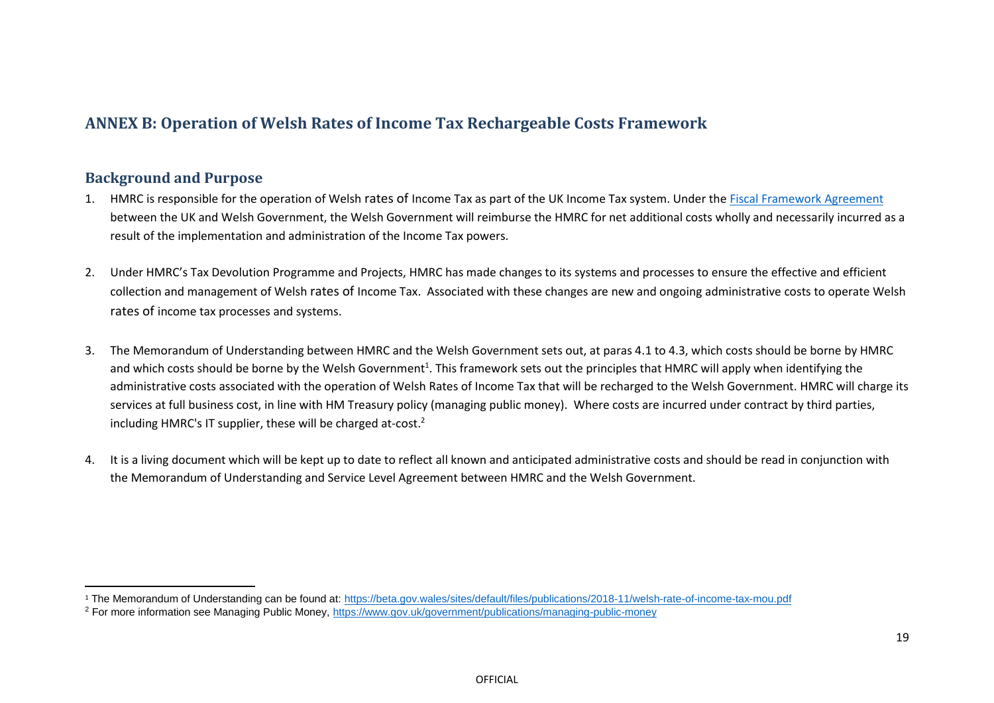# **ANNEX B: Operation of Welsh Rates of Income Tax Rechargeable Costs Framework**

### **Background and Purpose**

 $\overline{\phantom{a}}$ 

- 1. HMRC is responsible for the operation of Welsh rates of Income Tax as part of the UK Income Tax system. Under the [Fiscal Framework](https://gov.wales/sites/default/files/publications/2018-11/agreement-on-welsh-government-fiscal-framework.pdf) Agreement between the UK and Welsh Government, the Welsh Government will reimburse the HMRC for net additional costs wholly and necessarily incurred as a result of the implementation and administration of the Income Tax powers.
- 2. Under HMRC's Tax Devolution Programme and Projects, HMRC has made changes to its systems and processes to ensure the effective and efficient collection and management of Welsh rates of Income Tax. Associated with these changes are new and ongoing administrative costs to operate Welsh rates of income tax processes and systems.
- <span id="page-18-0"></span>3. The Memorandum of Understanding between HMRC and the Welsh Government sets out, at paras 4.1 to 4.3, which costs should be borne by HMRC and which costs should be borne by the Welsh Government<sup>1</sup>. This framework sets out the principles that HMRC will apply when identifying the administrative costs associated with the operation of Welsh Rates of Income Tax that will be recharged to the Welsh Government. HMRC will charge its services at full business cost, in line with HM Treasury policy (managing public money). Where costs are incurred under contract by third parties, including HMRC's IT supplier, these will be charged at-cost.<sup>2</sup>
- 4. It is a living document which will be kept up to date to reflect all known and anticipated administrative costs and should be read in conjunction with the Memorandum of Understanding and Service Level Agreement between HMRC and the Welsh Government.

<sup>1</sup> The Memorandum of Understanding can be found at: <https://beta.gov.wales/sites/default/files/publications/2018-11/welsh-rate-of-income-tax-mou.pdf>

<sup>2</sup> For more information see Managing Public Money,<https://www.gov.uk/government/publications/managing-public-money>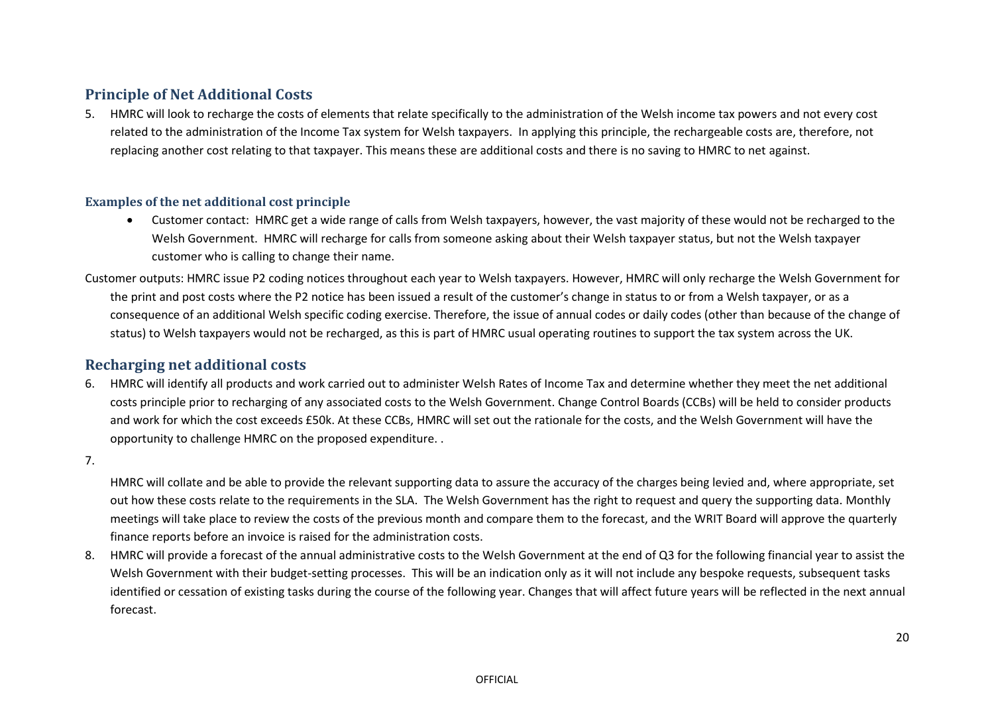## **Principle of Net Additional Costs**

5. HMRC will look to recharge the costs of elements that relate specifically to the administration of the Welsh income tax powers and not every cost related to the administration of the Income Tax system for Welsh taxpayers. In applying this principle, the rechargeable costs are, therefore, not replacing another cost relating to that taxpayer. This means these are additional costs and there is no saving to HMRC to net against.

#### **Examples of the net additional cost principle**

- Customer contact: HMRC get a wide range of calls from Welsh taxpayers, however, the vast majority of these would not be recharged to the Welsh Government. HMRC will recharge for calls from someone asking about their Welsh taxpayer status, but not the Welsh taxpayer customer who is calling to change their name.
- Customer outputs: HMRC issue P2 coding notices throughout each year to Welsh taxpayers. However, HMRC will only recharge the Welsh Government for the print and post costs where the P2 notice has been issued a result of the customer's change in status to or from a Welsh taxpayer, or as a consequence of an additional Welsh specific coding exercise. Therefore, the issue of annual codes or daily codes (other than because of the change of status) to Welsh taxpayers would not be recharged, as this is part of HMRC usual operating routines to support the tax system across the UK.

### **Recharging net additional costs**

6. HMRC will identify all products and work carried out to administer Welsh Rates of Income Tax and determine whether they meet the net additional costs principle prior to recharging of any associated costs to the Welsh Government. Change Control Boards (CCBs) will be held to consider products and work for which the cost exceeds £50k. At these CCBs, HMRC will set out the rationale for the costs, and the Welsh Government will have the opportunity to challenge HMRC on the proposed expenditure. .

7.

HMRC will collate and be able to provide the relevant supporting data to assure the accuracy of the charges being levied and, where appropriate, set out how these costs relate to the requirements in the SLA. The Welsh Government has the right to request and query the supporting data. Monthly meetings will take place to review the costs of the previous month and compare them to the forecast, and the WRIT Board will approve the quarterly finance reports before an invoice is raised for the administration costs.

8. HMRC will provide a forecast of the annual administrative costs to the Welsh Government at the end of Q3 for the following financial year to assist the Welsh Government with their budget-setting processes. This will be an indication only as it will not include any bespoke requests, subsequent tasks identified or cessation of existing tasks during the course of the following year. Changes that will affect future years will be reflected in the next annual forecast.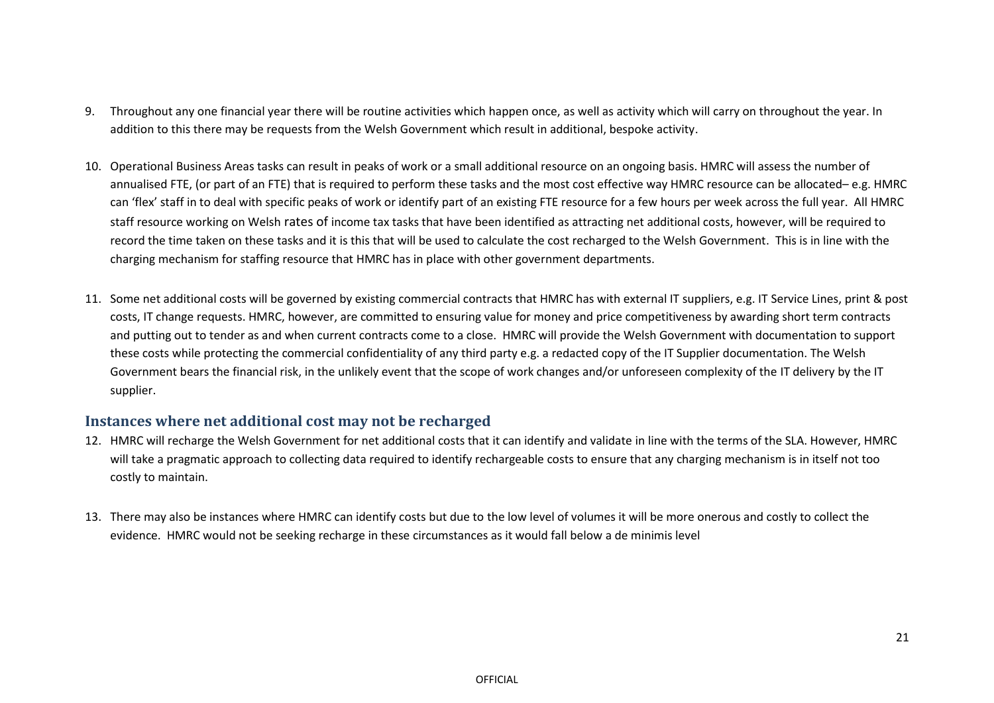- 9. Throughout any one financial year there will be routine activities which happen once, as well as activity which will carry on throughout the year. In addition to this there may be requests from the Welsh Government which result in additional, bespoke activity.
- 10. Operational Business Areas tasks can result in peaks of work or a small additional resource on an ongoing basis. HMRC will assess the number of annualised FTE, (or part of an FTE) that is required to perform these tasks and the most cost effective way HMRC resource can be allocated– e.g. HMRC can 'flex' staff in to deal with specific peaks of work or identify part of an existing FTE resource for a few hours per week across the full year. All HMRC staff resource working on Welsh rates of income tax tasks that have been identified as attracting net additional costs, however, will be required to record the time taken on these tasks and it is this that will be used to calculate the cost recharged to the Welsh Government. This is in line with the charging mechanism for staffing resource that HMRC has in place with other government departments.
- 11. Some net additional costs will be governed by existing commercial contracts that HMRC has with external IT suppliers, e.g. IT Service Lines, print & post costs, IT change requests. HMRC, however, are committed to ensuring value for money and price competitiveness by awarding short term contracts and putting out to tender as and when current contracts come to a close. HMRC will provide the Welsh Government with documentation to support these costs while protecting the commercial confidentiality of any third party e.g. a redacted copy of the IT Supplier documentation. The Welsh Government bears the financial risk, in the unlikely event that the scope of work changes and/or unforeseen complexity of the IT delivery by the IT supplier.

### **Instances where net additional cost may not be recharged**

- 12. HMRC will recharge the Welsh Government for net additional costs that it can identify and validate in line with the terms of the SLA. However, HMRC will take a pragmatic approach to collecting data required to identify rechargeable costs to ensure that any charging mechanism is in itself not too costly to maintain.
- 13. There may also be instances where HMRC can identify costs but due to the low level of volumes it will be more onerous and costly to collect the evidence. HMRC would not be seeking recharge in these circumstances as it would fall below a de minimis level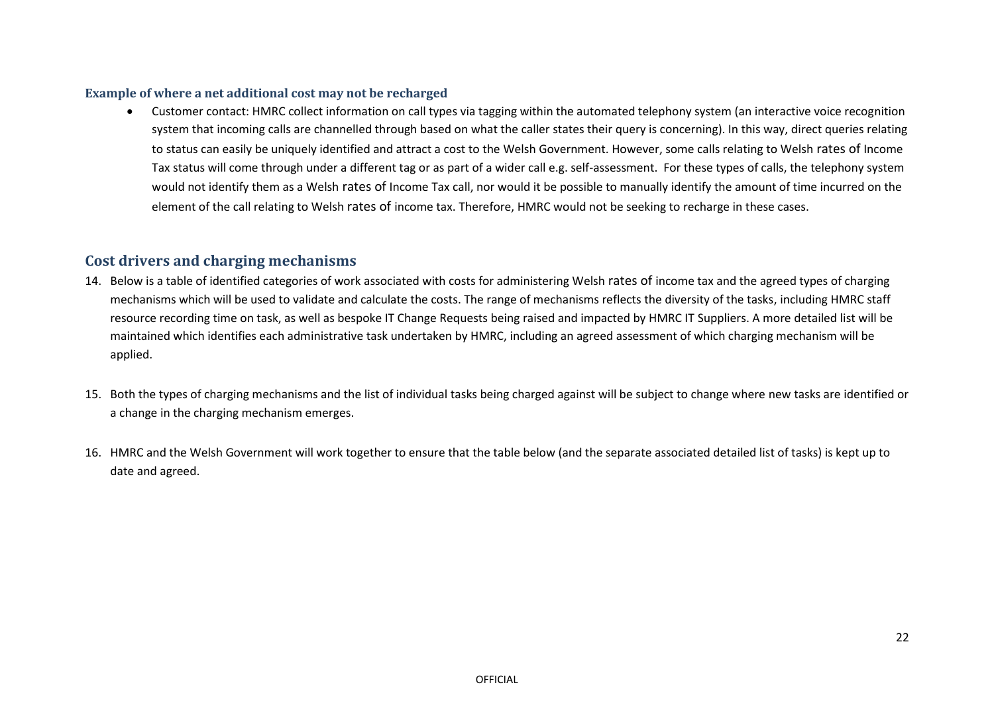#### **Example of where a net additional cost may not be recharged**

• Customer contact: HMRC collect information on call types via tagging within the automated telephony system (an interactive voice recognition system that incoming calls are channelled through based on what the caller states their query is concerning). In this way, direct queries relating to status can easily be uniquely identified and attract a cost to the Welsh Government. However, some calls relating to Welsh rates of Income Tax status will come through under a different tag or as part of a wider call e.g. self-assessment. For these types of calls, the telephony system would not identify them as a Welsh rates of Income Tax call, nor would it be possible to manually identify the amount of time incurred on the element of the call relating to Welsh rates of income tax. Therefore, HMRC would not be seeking to recharge in these cases.

### **Cost drivers and charging mechanisms**

- 14. Below is a table of identified categories of work associated with costs for administering Welsh rates of income tax and the agreed types of charging mechanisms which will be used to validate and calculate the costs. The range of mechanisms reflects the diversity of the tasks, including HMRC staff resource recording time on task, as well as bespoke IT Change Requests being raised and impacted by HMRC IT Suppliers. A more detailed list will be maintained which identifies each administrative task undertaken by HMRC, including an agreed assessment of which charging mechanism will be applied.
- 15. Both the types of charging mechanisms and the list of individual tasks being charged against will be subject to change where new tasks are identified or a change in the charging mechanism emerges.
- 16. HMRC and the Welsh Government will work together to ensure that the table below (and the separate associated detailed list of tasks) is kept up to date and agreed.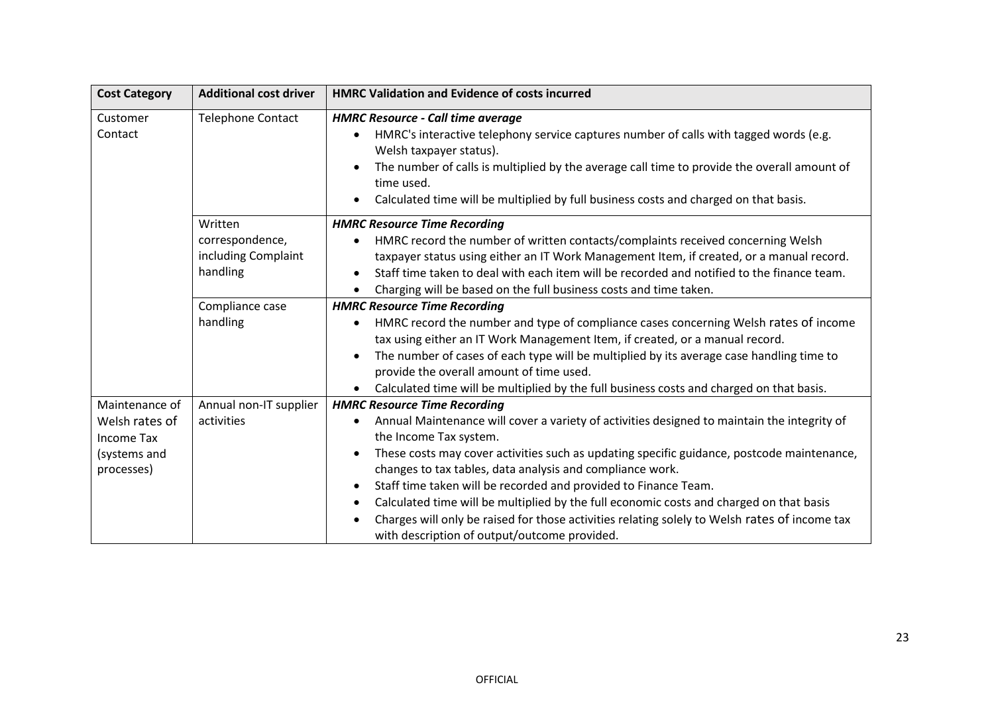| <b>Cost Category</b>                                                                                                                                                        | <b>Additional cost driver</b>                                 | <b>HMRC Validation and Evidence of costs incurred</b>                                                                                                                                                                                                                                                                                                                                                                                                                                                                                                                                                                                                                                      |
|-----------------------------------------------------------------------------------------------------------------------------------------------------------------------------|---------------------------------------------------------------|--------------------------------------------------------------------------------------------------------------------------------------------------------------------------------------------------------------------------------------------------------------------------------------------------------------------------------------------------------------------------------------------------------------------------------------------------------------------------------------------------------------------------------------------------------------------------------------------------------------------------------------------------------------------------------------------|
| <b>Telephone Contact</b><br><b>HMRC Resource - Call time average</b><br>Customer<br>Contact<br>$\bullet$<br>Welsh taxpayer status).<br>$\bullet$<br>time used.<br>$\bullet$ |                                                               | HMRC's interactive telephony service captures number of calls with tagged words (e.g.<br>The number of calls is multiplied by the average call time to provide the overall amount of<br>Calculated time will be multiplied by full business costs and charged on that basis.                                                                                                                                                                                                                                                                                                                                                                                                               |
|                                                                                                                                                                             | Written<br>correspondence,<br>including Complaint<br>handling | <b>HMRC Resource Time Recording</b><br>HMRC record the number of written contacts/complaints received concerning Welsh<br>$\bullet$<br>taxpayer status using either an IT Work Management Item, if created, or a manual record.<br>Staff time taken to deal with each item will be recorded and notified to the finance team.<br>$\bullet$<br>Charging will be based on the full business costs and time taken.<br>$\bullet$                                                                                                                                                                                                                                                               |
|                                                                                                                                                                             | Compliance case<br>handling                                   | <b>HMRC Resource Time Recording</b><br>HMRC record the number and type of compliance cases concerning Welsh rates of income<br>$\bullet$<br>tax using either an IT Work Management Item, if created, or a manual record.<br>The number of cases of each type will be multiplied by its average case handling time to<br>$\bullet$<br>provide the overall amount of time used.<br>Calculated time will be multiplied by the full business costs and charged on that basis.<br>$\bullet$                                                                                                                                                                                                     |
| Maintenance of<br>Welsh rates of<br>Income Tax<br>(systems and<br>processes)                                                                                                | Annual non-IT supplier<br>activities                          | <b>HMRC Resource Time Recording</b><br>Annual Maintenance will cover a variety of activities designed to maintain the integrity of<br>the Income Tax system.<br>These costs may cover activities such as updating specific guidance, postcode maintenance,<br>$\bullet$<br>changes to tax tables, data analysis and compliance work.<br>Staff time taken will be recorded and provided to Finance Team.<br>$\bullet$<br>Calculated time will be multiplied by the full economic costs and charged on that basis<br>$\bullet$<br>Charges will only be raised for those activities relating solely to Welsh rates of income tax<br>$\bullet$<br>with description of output/outcome provided. |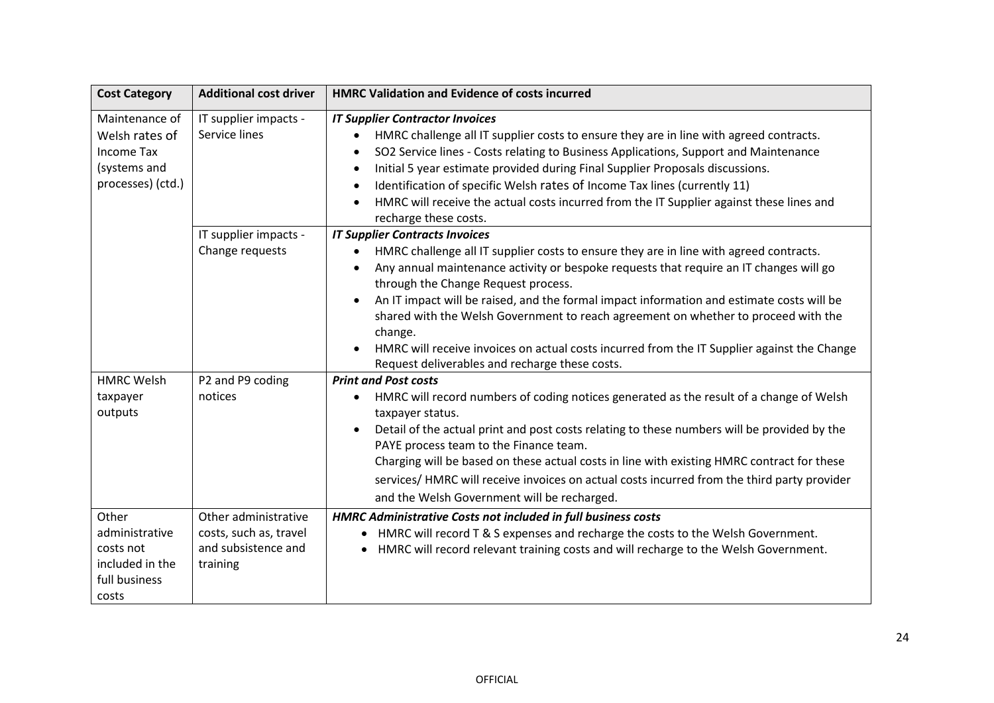| <b>Cost Category</b>                                                                | <b>Additional cost driver</b>                                                     | <b>HMRC Validation and Evidence of costs incurred</b>                                                                                                                                                                                                                                                                                                                                                                                                                                                                                                                                                                                     |
|-------------------------------------------------------------------------------------|-----------------------------------------------------------------------------------|-------------------------------------------------------------------------------------------------------------------------------------------------------------------------------------------------------------------------------------------------------------------------------------------------------------------------------------------------------------------------------------------------------------------------------------------------------------------------------------------------------------------------------------------------------------------------------------------------------------------------------------------|
| Maintenance of<br>Welsh rates of<br>Income Tax<br>(systems and<br>processes) (ctd.) | IT supplier impacts -<br>Service lines                                            | <b>IT Supplier Contractor Invoices</b><br>HMRC challenge all IT supplier costs to ensure they are in line with agreed contracts.<br>$\bullet$<br>SO2 Service lines - Costs relating to Business Applications, Support and Maintenance<br>$\bullet$<br>Initial 5 year estimate provided during Final Supplier Proposals discussions.<br>$\bullet$<br>Identification of specific Welsh rates of Income Tax lines (currently 11)<br>$\bullet$<br>HMRC will receive the actual costs incurred from the IT Supplier against these lines and<br>$\bullet$<br>recharge these costs.                                                              |
|                                                                                     | IT supplier impacts -<br>Change requests                                          | <b>IT Supplier Contracts Invoices</b><br>HMRC challenge all IT supplier costs to ensure they are in line with agreed contracts.<br>$\bullet$<br>Any annual maintenance activity or bespoke requests that require an IT changes will go<br>$\bullet$<br>through the Change Request process.<br>An IT impact will be raised, and the formal impact information and estimate costs will be<br>shared with the Welsh Government to reach agreement on whether to proceed with the<br>change.<br>HMRC will receive invoices on actual costs incurred from the IT Supplier against the Change<br>Request deliverables and recharge these costs. |
| <b>HMRC Welsh</b><br>taxpayer<br>outputs                                            | P2 and P9 coding<br>notices                                                       | <b>Print and Post costs</b><br>HMRC will record numbers of coding notices generated as the result of a change of Welsh<br>$\bullet$<br>taxpayer status.<br>Detail of the actual print and post costs relating to these numbers will be provided by the<br>$\bullet$<br>PAYE process team to the Finance team.<br>Charging will be based on these actual costs in line with existing HMRC contract for these<br>services/ HMRC will receive invoices on actual costs incurred from the third party provider<br>and the Welsh Government will be recharged.                                                                                 |
| Other<br>administrative<br>costs not<br>included in the<br>full business<br>costs   | Other administrative<br>costs, such as, travel<br>and subsistence and<br>training | HMRC Administrative Costs not included in full business costs<br>HMRC will record T & S expenses and recharge the costs to the Welsh Government.<br>$\bullet$<br>HMRC will record relevant training costs and will recharge to the Welsh Government.                                                                                                                                                                                                                                                                                                                                                                                      |